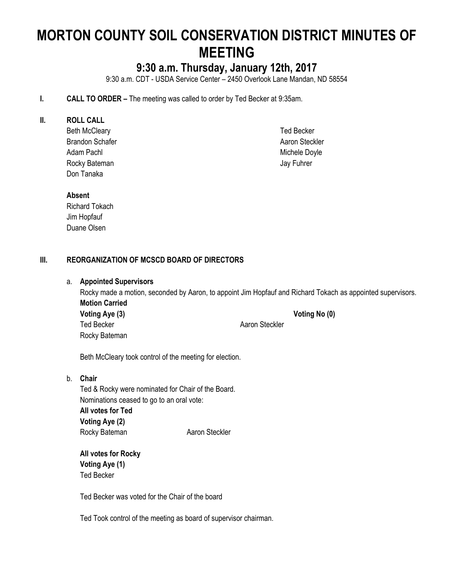# **MORTON COUNTY SOIL CONSERVATION DISTRICT MINUTES OF MEETING**

# **9:30 a.m. Thursday, January 12th, 2017**

9:30 a.m. CDT - USDA Service Center – 2450 Overlook Lane Mandan, ND 58554

**I. CALL TO ORDER –** The meeting was called to order by Ted Becker at 9:35am.

#### **II. ROLL CALL**

Beth McCleary Brandon Schafer Adam Pachl Rocky Bateman Don Tanaka

Ted Becker Aaron Steckler Michele Doyle Jay Fuhrer

#### **Absent**

Richard Tokach Jim Hopfauf Duane Olsen

#### **III. REORGANIZATION OF MCSCD BOARD OF DIRECTORS**

a. **Appointed Supervisors**

Rocky Bateman

Rocky made a motion, seconded by Aaron, to appoint Jim Hopfauf and Richard Tokach as appointed supervisors. **Motion Carried Voting Aye (3) Voting No (0)** Ted Becker **Aaron Steckler** Aaron Steckler

Beth McCleary took control of the meeting for election.

#### b. **Chair**

Ted & Rocky were nominated for Chair of the Board. Nominations ceased to go to an oral vote: **All votes for Ted Voting Aye (2)** Rocky Bateman Aaron Steckler

**All votes for Rocky Voting Aye (1)** Ted Becker

Ted Becker was voted for the Chair of the board

Ted Took control of the meeting as board of supervisor chairman.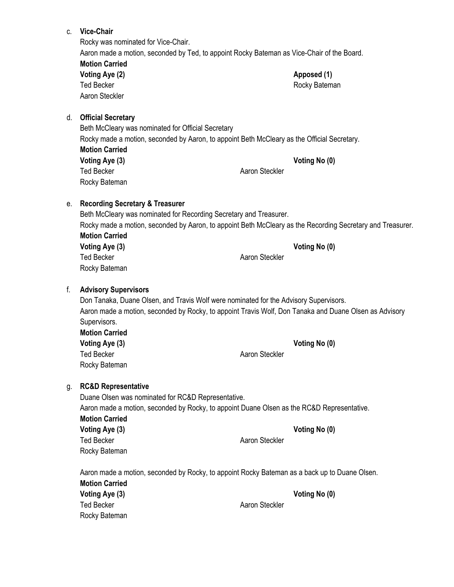# c. **Vice-Chair** Rocky was nominated for Vice-Chair. Aaron made a motion, seconded by Ted, to appoint Rocky Bateman as Vice-Chair of the Board.

|    | <b>Motion Carried</b>                              |                                                                                             |
|----|----------------------------------------------------|---------------------------------------------------------------------------------------------|
|    | Voting Aye (2)                                     | Apposed (1)                                                                                 |
|    | <b>Ted Becker</b>                                  | Rocky Bateman                                                                               |
|    | Aaron Steckler                                     |                                                                                             |
| d. | <b>Official Secretary</b>                          |                                                                                             |
|    | Beth McCleary was nominated for Official Secretary |                                                                                             |
|    |                                                    | Rocky made a motion, seconded by Aaron, to appoint Beth McCleary as the Official Secretary. |
|    | <b>Motion Carried</b>                              |                                                                                             |
|    | Voting Aye (3)                                     | Voting No (0)                                                                               |
|    | <b>Ted Becker</b>                                  | Aaron Steckler                                                                              |
|    | Rocky Bateman                                      |                                                                                             |

# e. **Recording Secretary & Treasurer**

| Beth McCleary was nominated for Recording Secretary and Treasurer. |                                                                                                            |
|--------------------------------------------------------------------|------------------------------------------------------------------------------------------------------------|
|                                                                    | Rocky made a motion, seconded by Aaron, to appoint Beth McCleary as the Recording Secretary and Treasurer. |
| <b>Motion Carried</b>                                              |                                                                                                            |
| Voting Aye (3)                                                     | Voting No (0)                                                                                              |
| Ted Becker                                                         | Aaron Steckler                                                                                             |
| Rocky Bateman                                                      |                                                                                                            |

# f. **Advisory Supervisors**

Don Tanaka, Duane Olsen, and Travis Wolf were nominated for the Advisory Supervisors. Aaron made a motion, seconded by Rocky, to appoint Travis Wolf, Don Tanaka and Duane Olsen as Advisory Supervisors. **Motion Carried**

| <b>Motion Carried</b> |                |               |
|-----------------------|----------------|---------------|
| Voting Aye (3)        |                | Voting No (0) |
| <b>Ted Becker</b>     | Aaron Steckler |               |
| Rocky Bateman         |                |               |

### g. **RC&D Representative**

Duane Olsen was nominated for RC&D Representative. Aaron made a motion, seconded by Rocky, to appoint Duane Olsen as the RC&D Representative. **Motion Carried Voting Aye (3) Voting No (0)** Ted Becker **Accord Executes** Aaron Steckler Rocky Bateman

|                       | Aaron made a motion, seconded by Rocky, to appoint Rocky Bateman as a back up to Duane Olsen. |
|-----------------------|-----------------------------------------------------------------------------------------------|
| <b>Motion Carried</b> |                                                                                               |
| Voting Aye (3)        | Voting No (0)                                                                                 |
| Ted Becker            | Aaron Steckler                                                                                |
| Rocky Bateman         |                                                                                               |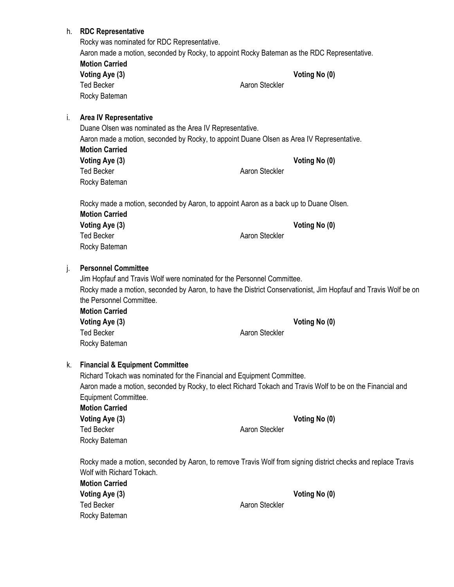#### h. **RDC Representative**

| Rocky was nominated for RDC Representative. |                                                                                             |
|---------------------------------------------|---------------------------------------------------------------------------------------------|
|                                             | Aaron made a motion, seconded by Rocky, to appoint Rocky Bateman as the RDC Representative. |
| <b>Motion Carried</b>                       |                                                                                             |
| Voting Aye (3)                              | Voting No (0)                                                                               |
| Ted Becker                                  | Aaron Steckler                                                                              |
| Rocky Bateman                               |                                                                                             |
|                                             |                                                                                             |
|                                             |                                                                                             |

#### i. **Area IV Representative**

| Duane Olsen was nominated as the Area IV Representative. |                                                                                           |
|----------------------------------------------------------|-------------------------------------------------------------------------------------------|
|                                                          | Aaron made a motion, seconded by Rocky, to appoint Duane Olsen as Area IV Representative. |
| <b>Motion Carried</b>                                    |                                                                                           |
| Voting Aye (3)                                           | Voting No (0)                                                                             |
| Ted Becker                                               | Aaron Steckler                                                                            |
| Rocky Bateman                                            |                                                                                           |

Rocky made a motion, seconded by Aaron, to appoint Aaron as a back up to Duane Olsen. **Motion Carried Voting Aye (3) Voting No (0)** Ted Becker **Aaron Steckler** Aaron Steckler

#### j. **Personnel Committee**

Rocky Bateman

Jim Hopfauf and Travis Wolf were nominated for the Personnel Committee. Rocky made a motion, seconded by Aaron, to have the District Conservationist, Jim Hopfauf and Travis Wolf be on the Personnel Committee.

**Motion Carried Voting Aye (3) Voting No (0)** Ted Becker **Aaron Steckler** Aaron Steckler Rocky Bateman

#### k. **Financial & Equipment Committee**

Richard Tokach was nominated for the Financial and Equipment Committee. Aaron made a motion, seconded by Rocky, to elect Richard Tokach and Travis Wolf to be on the Financial and Equipment Committee.

**Motion Carried Voting Aye (3) Voting No (0)** Ted Becker **Aaron Steckler** Aaron Steckler Rocky Bateman

Rocky made a motion, seconded by Aaron, to remove Travis Wolf from signing district checks and replace Travis Wolf with Richard Tokach.

| <b>Motion Carried</b> |  |
|-----------------------|--|
| Voting Aye (3)        |  |
| <b>Ted Becker</b>     |  |
| Rocky Bateman         |  |

**Voting Aye (3) Voting No (0)**

Aaron Steckler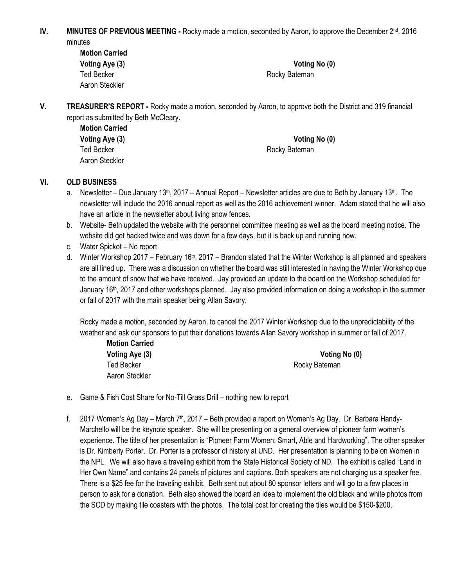**IV. MINUTES OF PREVIOUS MEETING -** Rocky made a motion, seconded by Aaron, to approve the December 2<sup>nd</sup>, 2016 minutes

| <b>Motion Carried</b> |               |
|-----------------------|---------------|
| Voting Aye (3)        | Voting No (0) |
| Ted Becker            | Rocky Bateman |
| Aaron Steckler        |               |

**V. TREASURER'S REPORT -** Rocky made a motion, seconded by Aaron, to approve both the District and 319 financial report as submitted by Beth McCleary.

> **Motion Carried** Ted Becker **Rocky** Bateman Aaron Steckler

**Voting Aye (3) Voting No (0)**

#### **VI. OLD BUSINESS**

- a. Newsletter Due January  $13<sup>th</sup>$ , 2017 Annual Report Newsletter articles are due to Beth by January  $13<sup>th</sup>$ . The newsletter will include the 2016 annual report as well as the 2016 achievement winner. Adam stated that he will also have an article in the newsletter about living snow fences.
- b. Website- Beth updated the website with the personnel committee meeting as well as the board meeting notice. The website did get hacked twice and was down for a few days, but it is back up and running now.
- c. Water Spickot No report
- d. Winter Workshop 2017 February 16<sup>th</sup>, 2017 Brandon stated that the Winter Workshop is all planned and speakers are all lined up. There was a discussion on whether the board was still interested in having the Winter Workshop due to the amount of snow that we have received. Jay provided an update to the board on the Workshop scheduled for January 16<sup>th</sup>, 2017 and other workshops planned. Jay also provided information on doing a workshop in the summer or fall of 2017 with the main speaker being Allan Savory.

Rocky made a motion, seconded by Aaron, to cancel the 2017 Winter Workshop due to the unpredictability of the weather and ask our sponsors to put their donations towards Allan Savory workshop in summer or fall of 2017.

| <b>Motion Carried</b> |               |  |
|-----------------------|---------------|--|
| Voting Aye (3)        | Voting No (0) |  |
| <b>Ted Becker</b>     | Rocky Bateman |  |
| Aaron Steckler        |               |  |

- e. Game & Fish Cost Share for No-Till Grass Drill nothing new to report
- f. 2017 Women's Ag Day March 7th, 2017 Beth provided a report on Women's Ag Day. Dr. Barbara Handy-Marchello will be the keynote speaker. She will be presenting on a general overview of pioneer farm women's experience. The title of her presentation is "Pioneer Farm Women: Smart, Able and Hardworking". The other speaker is Dr. Kimberly Porter. Dr. Porter is a professor of history at UND. Her presentation is planning to be on Women in the NPL. We will also have a traveling exhibit from the State Historical Society of ND. The exhibit is called "Land in Her Own Name" and contains 24 panels of pictures and captions. Both speakers are not charging us a speaker fee. There is a \$25 fee for the traveling exhibit. Beth sent out about 80 sponsor letters and will go to a few places in person to ask for a donation. Beth also showed the board an idea to implement the old black and white photos from the SCD by making tile coasters with the photos. The total cost for creating the tiles would be \$150-\$200.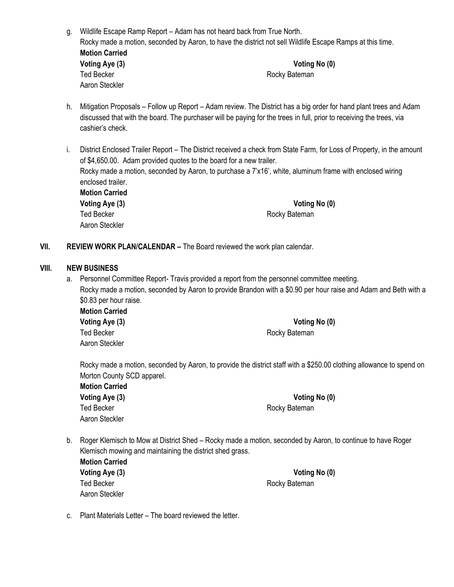| а. |                       | Wildlife Escape Ramp Report – Adam has not heard back from True North.                                    |
|----|-----------------------|-----------------------------------------------------------------------------------------------------------|
|    |                       | Rocky made a motion, seconded by Aaron, to have the district not sell Wildlife Escape Ramps at this time. |
|    | <b>Motion Carried</b> |                                                                                                           |
|    | Voting Aye (3)        | Voting No (0)                                                                                             |
|    | Ted Becker            | Rocky Bateman                                                                                             |
|    | Aaron Steckler        |                                                                                                           |

- h. Mitigation Proposals Follow up Report Adam review. The District has a big order for hand plant trees and Adam discussed that with the board. The purchaser will be paying for the trees in full, prior to receiving the trees, via cashier's check.
- i. District Enclosed Trailer Report The District received a check from State Farm, for Loss of Property, in the amount of \$4,650.00. Adam provided quotes to the board for a new trailer. Rocky made a motion, seconded by Aaron, to purchase a 7'x16', white, aluminum frame with enclosed wiring enclosed trailer. **Motion Carried Voting Aye (3) Voting No (0)** Ted Becker **Rocky** Bateman Aaron Steckler
- **VII. REVIEW WORK PLAN/CALENDAR –** The Board reviewed the work plan calendar.

#### **VIII. NEW BUSINESS**

a. Personnel Committee Report- Travis provided a report from the personnel committee meeting. Rocky made a motion, seconded by Aaron to provide Brandon with a \$0.90 per hour raise and Adam and Beth with a \$0.83 per hour raise.

**Motion Carried Voting Aye (3) Voting No (0)** Ted Becker **Rocky** Bateman Aaron Steckler

Rocky made a motion, seconded by Aaron, to provide the district staff with a \$250.00 clothing allowance to spend on Morton County SCD apparel.

| <b>Motion Carried</b> |
|-----------------------|
| Voting Aye (3)        |
| <b>Ted Becker</b>     |
| Aaron Steckler        |

**Voting Aye (3) Voting No (0)** Rocky Bateman

b. Roger Klemisch to Mow at District Shed – Rocky made a motion, seconded by Aaron, to continue to have Roger Klemisch mowing and maintaining the district shed grass.

| <b>Motion Carried</b> |
|-----------------------|
| Voting Aye (3)        |
| Ted Becker            |
| Aaron Steckler        |

**Voting Aye (3) Voting No (0)** Rocky Bateman

c. Plant Materials Letter – The board reviewed the letter.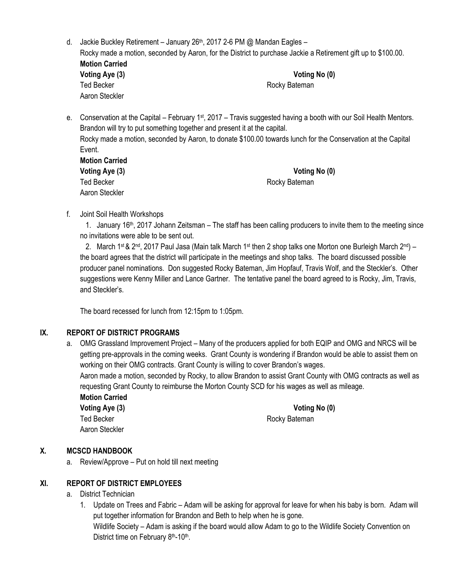- d. Jackie Buckley Retirement January 26<sup>th</sup>, 2017 2-6 PM @ Mandan Eagles Rocky made a motion, seconded by Aaron, for the District to purchase Jackie a Retirement gift up to \$100.00. **Motion Carried Voting Aye (3) Voting No (0)** Ted Becker **Rocky** Bateman Aaron Steckler
- e. Conservation at the Capital February 1st, 2017 Travis suggested having a booth with our Soil Health Mentors. Brandon will try to put something together and present it at the capital. Rocky made a motion, seconded by Aaron, to donate \$100.00 towards lunch for the Conservation at the Capital Event.

| <b>Motion Carried</b> |
|-----------------------|
| Voting Aye (3)        |
| Ted Becker            |
| Aaron Steckler        |

**Voting No (0)** 

Rocky Bateman

f. Joint Soil Health Workshops

1. January  $16<sup>th</sup>$ , 2017 Johann Zeitsman – The staff has been calling producers to invite them to the meeting since no invitations were able to be sent out.

2. March 1<sup>st</sup> & 2<sup>nd</sup>, 2017 Paul Jasa (Main talk March 1<sup>st</sup> then 2 shop talks one Morton one Burleigh March 2<sup>nd</sup>) – the board agrees that the district will participate in the meetings and shop talks. The board discussed possible producer panel nominations. Don suggested Rocky Bateman, Jim Hopfauf, Travis Wolf, and the Steckler's. Other suggestions were Kenny Miller and Lance Gartner. The tentative panel the board agreed to is Rocky, Jim, Travis, and Steckler's.

The board recessed for lunch from 12:15pm to 1:05pm.

### **IX. REPORT OF DISTRICT PROGRAMS**

a. OMG Grassland Improvement Project – Many of the producers applied for both EQIP and OMG and NRCS will be getting pre-approvals in the coming weeks. Grant County is wondering if Brandon would be able to assist them on working on their OMG contracts. Grant County is willing to cover Brandon's wages.

Aaron made a motion, seconded by Rocky, to allow Brandon to assist Grant County with OMG contracts as well as requesting Grant County to reimburse the Morton County SCD for his wages as well as mileage.

**Motion Carried** Ted Becker **Rocky** Bateman Aaron Steckler

**Voting Aye (3) Voting No (0)**

# **X. MCSCD HANDBOOK**

a. Review/Approve – Put on hold till next meeting

# **XI. REPORT OF DISTRICT EMPLOYEES**

- a. District Technician
	- 1. Update on Trees and Fabric Adam will be asking for approval for leave for when his baby is born. Adam will put together information for Brandon and Beth to help when he is gone.

Wildlife Society – Adam is asking if the board would allow Adam to go to the Wildlife Society Convention on District time on February 8<sup>th</sup>-10<sup>th</sup>.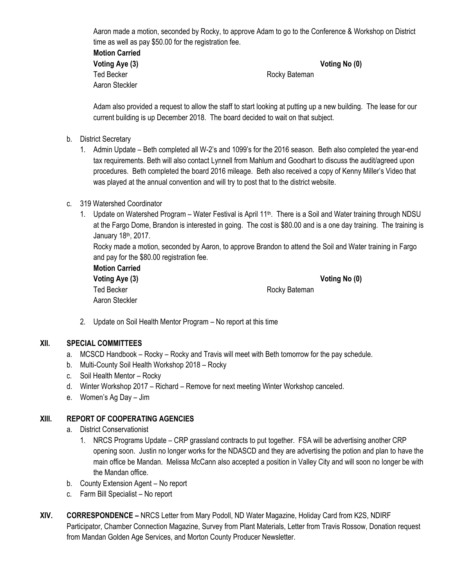Aaron made a motion, seconded by Rocky, to approve Adam to go to the Conference & Workshop on District time as well as pay \$50.00 for the registration fee.

| Motion Carried |
|----------------|
| Voting Aye (3) |
| Ted Becker     |
| Aaron Steckler |

#### **Voting Aye (3) Voting No (0)**

Rocky Bateman

Adam also provided a request to allow the staff to start looking at putting up a new building. The lease for our current building is up December 2018. The board decided to wait on that subject.

- b. District Secretary
	- 1. Admin Update Beth completed all W-2's and 1099's for the 2016 season. Beth also completed the year-end tax requirements. Beth will also contact Lynnell from Mahlum and Goodhart to discuss the audit/agreed upon procedures. Beth completed the board 2016 mileage. Beth also received a copy of Kenny Miller's Video that was played at the annual convention and will try to post that to the district website.

#### c. 319 Watershed Coordinator

1. Update on Watershed Program – Water Festival is April 11<sup>th</sup>. There is a Soil and Water training through NDSU at the Fargo Dome, Brandon is interested in going. The cost is \$80.00 and is a one day training. The training is January 18th, 2017.

Rocky made a motion, seconded by Aaron, to approve Brandon to attend the Soil and Water training in Fargo and pay for the \$80.00 registration fee.

| <b>Motion Carried</b> |
|-----------------------|
| Voting Aye (3)        |
| Ted Becker            |
| Aaron Steckler        |

**Voting Aye (3) Voting No (0)**

Rocky Bateman

2. Update on Soil Health Mentor Program – No report at this time

#### **XII. SPECIAL COMMITTEES**

- a. MCSCD Handbook Rocky Rocky and Travis will meet with Beth tomorrow for the pay schedule.
- b. Multi-County Soil Health Workshop 2018 Rocky
- c. Soil Health Mentor Rocky
- d. Winter Workshop 2017 Richard Remove for next meeting Winter Workshop canceled.
- e. Women's Ag Day Jim

#### **XIII. REPORT OF COOPERATING AGENCIES**

- a. District Conservationist
	- 1. NRCS Programs Update CRP grassland contracts to put together. FSA will be advertising another CRP opening soon. Justin no longer works for the NDASCD and they are advertising the potion and plan to have the main office be Mandan. Melissa McCann also accepted a position in Valley City and will soon no longer be with the Mandan office.
- b. County Extension Agent No report
- c. Farm Bill Specialist No report
- **XIV. CORRESPONDENCE –** NRCS Letter from Mary Podoll, ND Water Magazine, Holiday Card from K2S, NDIRF Participator, Chamber Connection Magazine, Survey from Plant Materials, Letter from Travis Rossow, Donation request from Mandan Golden Age Services, and Morton County Producer Newsletter.